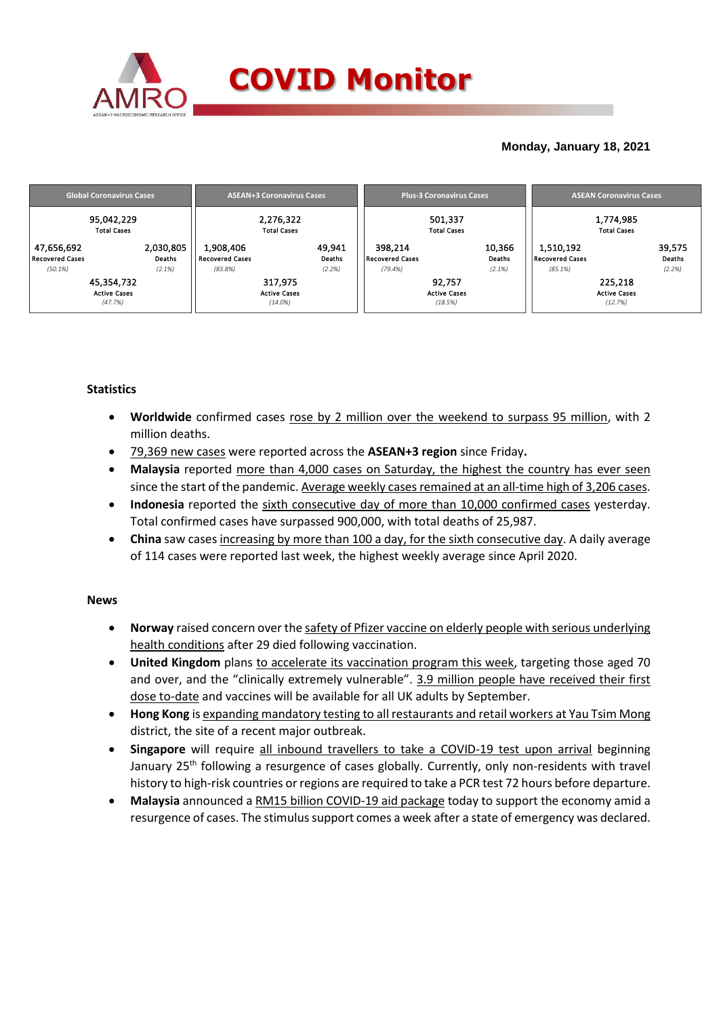

## **Monday, January 18, 2021**

|                                                 | <b>Global Coronavirus Cases</b>              |                                                | <b>ASEAN+3 Coronavirus Cases</b>             |                                              | <b>Plus-3 Coronavirus Cases</b>          | <b>ASEAN Coronavirus Cases</b>                    |                                           |  |  |
|-------------------------------------------------|----------------------------------------------|------------------------------------------------|----------------------------------------------|----------------------------------------------|------------------------------------------|---------------------------------------------------|-------------------------------------------|--|--|
|                                                 | 95,042,229<br><b>Total Cases</b>             |                                                | 2,276,322<br><b>Total Cases</b>              |                                              | 501,337<br><b>Total Cases</b>            | 1,774,985<br><b>Total Cases</b>                   |                                           |  |  |
| 47,656,692<br><b>Recovered Cases</b><br>(50.1%) | 2,030,805<br>Deaths<br>(2.1%)                | 1,908,406<br><b>Recovered Cases</b><br>(83.8%) | 49,941<br>Deaths<br>(2.2%)                   | 398,214<br><b>Recovered Cases</b><br>(79.4%) | 10,366<br>Deaths<br>(2.1%)               | 1,510,192<br><b>Recovered Cases</b><br>$(85.1\%)$ | 39,575<br>Deaths<br>(2.2%)                |  |  |
|                                                 | 45,354,732<br><b>Active Cases</b><br>(47.7%) |                                                | 317,975<br><b>Active Cases</b><br>$(14.0\%)$ |                                              | 92,757<br><b>Active Cases</b><br>(18.5%) |                                                   | 225,218<br><b>Active Cases</b><br>(12.7%) |  |  |

## **Statistics**

- **Worldwide** confirmed cases rose by 2 million over the weekend to surpass 95 million, with 2 million deaths.
- 79,369 new cases were reported across the **ASEAN+3 region** since Friday**.**
- **Malaysia** reported more than 4,000 cases on Saturday, the highest the country has ever seen since the start of the pandemic. Average weekly cases remained at an all-time high of 3,206 cases.
- **Indonesia** reported the sixth consecutive day of more than 10,000 confirmed cases yesterday. Total confirmed cases have surpassed 900,000, with total deaths of 25,987.
- **China** saw cases increasing by more than 100 a day, for the sixth consecutive day. A daily average of 114 cases were reported last week, the highest weekly average since April 2020.

### **News**

- **Norway** raised concern over the safety of Pfizer vaccine on elderly people with serious underlying health conditions after 29 died following vaccination.
- **United Kingdom** plans to accelerate its vaccination program this week, targeting those aged 70 and over, and the "clinically extremely vulnerable". 3.9 million people have received their first dose to-date and vaccines will be available for all UK adults by September.
- **Hong Kong** is expanding mandatory testing to all restaurants and retail workers at Yau Tsim Mong district, the site of a recent major outbreak.
- **Singapore** will require all inbound travellers to take a COVID-19 test upon arrival beginning January 25<sup>th</sup> following a resurgence of cases globally. Currently, only non-residents with travel history to high-risk countries or regions are required to take a PCR test 72 hours before departure.
- **Malaysia** announced a RM15 billion COVID-19 aid package today to support the economy amid a resurgence of cases. The stimulus support comes a week after a state of emergency was declared.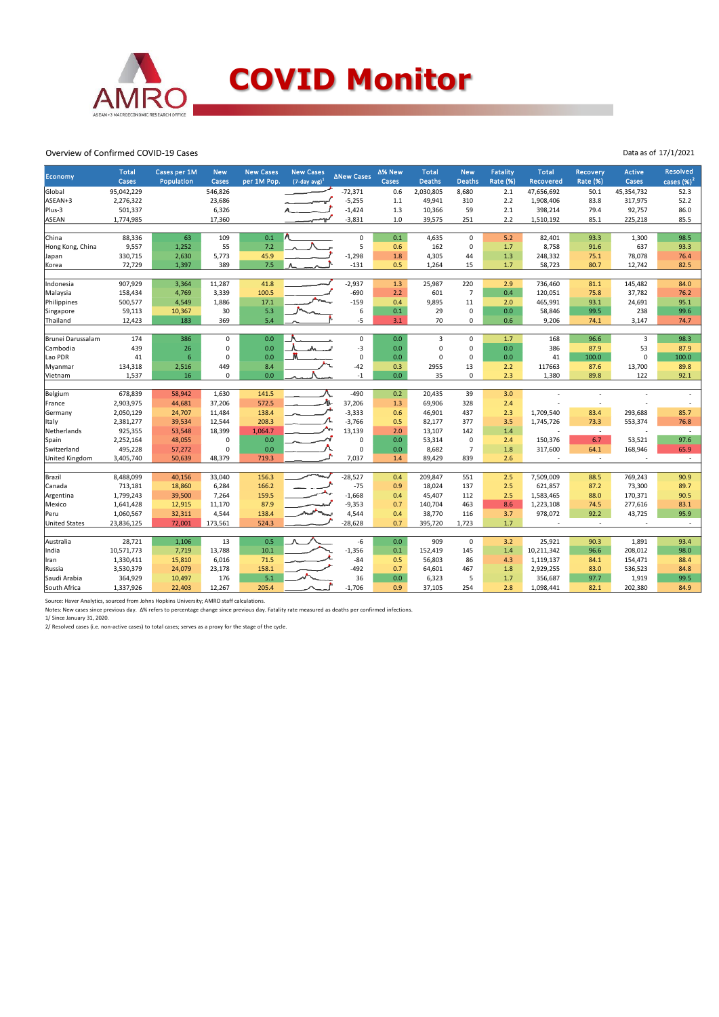

#### Overview of Confirmed COVID-19 Cases

| <b>Economy</b>       | <b>Total</b><br>Cases | Cases per 1M<br>Population | <b>New</b><br>Cases | <b>New Cases</b><br>per 1M Pop. | <b>New Cases</b><br>$(7$ -day avg $)^1$ | ∆New Cases  | ∆% New<br>Cases | <b>Total</b><br><b>Deaths</b> | <b>New</b><br><b>Deaths</b> | <b>Fatality</b><br>Rate (%) | <b>Total</b><br><b>Recovered</b> | <b>Recovery</b><br><b>Rate (%)</b> | <b>Active</b><br>Cases | <b>Resolved</b><br>cases $(\%)^2$ |
|----------------------|-----------------------|----------------------------|---------------------|---------------------------------|-----------------------------------------|-------------|-----------------|-------------------------------|-----------------------------|-----------------------------|----------------------------------|------------------------------------|------------------------|-----------------------------------|
| Global               | 95,042,229            |                            | 546,826             |                                 |                                         | $-72,371$   | 0.6             | 2,030,805                     | 8,680                       | 2.1                         | 47,656,692                       | 50.1                               | 45,354,732             | 52.3                              |
| ASEAN+3              | 2,276,322             |                            | 23,686              |                                 |                                         | $-5,255$    | $1.1$           | 49,941                        | 310                         | 2.2                         | 1,908,406                        | 83.8                               | 317,975                | 52.2                              |
| Plus-3               | 501,337               |                            | 6,326               |                                 |                                         | $-1,424$    | 1.3             | 10,366                        | 59                          | 2.1                         | 398,214                          | 79.4                               | 92,757                 | 86.0                              |
| <b>ASEAN</b>         | 1,774,985             |                            | 17,360              |                                 |                                         | $-3,831$    | $1.0$           | 39,575                        | 251                         | 2.2                         | 1,510,192                        | 85.1                               | 225,218                | 85.5                              |
|                      |                       |                            |                     |                                 |                                         |             |                 |                               |                             |                             |                                  |                                    |                        |                                   |
| China                | 88,336                | 63                         | 109                 | 0.1                             |                                         | $\mathsf 0$ | 0.1             | 4,635                         | $\mathbf 0$                 | 5.2                         | 82,401                           | 93.3                               | 1,300                  | 98.5                              |
| Hong Kong, China     | 9,557                 | 1,252                      | 55                  | 7.2                             |                                         | 5           | 0.6             | 162                           | $\mathsf 0$                 | 1.7                         | 8,758                            | 91.6                               | 637                    | 93.3                              |
| Japan                | 330,715               | 2,630                      | 5,773               | 45.9                            |                                         | $-1,298$    | 1.8             | 4,305                         | 44                          | 1.3                         | 248,332                          | 75.1                               | 78,078                 | 76.4                              |
| Korea                | 72,729                | 1,397                      | 389                 | 7.5                             |                                         | $-131$      | 0.5             | 1,264                         | 15                          | 1.7                         | 58,723                           | 80.7                               | 12,742                 | 82.5                              |
| Indonesia            | 907,929               | 3,364                      | 11,287              | 41.8                            |                                         | $-2,937$    | 1.3             | 25,987                        | 220                         | 2.9                         | 736,460                          | 81.1                               | 145,482                | 84.0                              |
| Malaysia             | 158,434               | 4,769                      | 3,339               | 100.5                           |                                         | $-690$      | 2.2             | 601                           | $\overline{7}$              | 0.4                         | 120,051                          | 75.8                               | 37,782                 | 76.2                              |
| Philippines          | 500,577               | 4,549                      | 1,886               | 17.1                            |                                         | $-159$      | 0.4             | 9.895                         | 11                          | 2.0                         | 465,991                          | 93.1                               | 24,691                 | 95.1                              |
| Singapore            | 59,113                | 10,367                     | 30                  | 5.3                             |                                         | 6           | 0.1             | 29                            | $\pmb{0}$                   | 0.0                         | 58,846                           | 99.5                               | 238                    | 99.6                              |
| Thailand             | 12,423                | 183                        | 369                 | 5.4                             |                                         | $-5$        | 3.1             | 70                            | 0                           | 0.6                         | 9,206                            | 74.1                               | 3,147                  | 74.7                              |
|                      |                       |                            |                     |                                 |                                         |             |                 |                               |                             |                             |                                  |                                    |                        |                                   |
| Brunei Darussalam    | 174                   | 386                        | $\mathsf 0$         | 0.0                             |                                         | $\pmb{0}$   | 0.0             | 3                             | 0                           | 1.7                         | 168                              | 96.6                               | $\overline{3}$         | 98.3                              |
| Cambodia             | 439                   | 26                         | 0                   | 0.0                             |                                         | $-3$        | 0.0             | 0                             | $\pmb{0}$                   | 0.0                         | 386                              | 87.9                               | 53                     | 87.9                              |
| Lao PDR              | 41                    | 6                          | $\mathbf 0$         | 0.0                             |                                         | $\mathbf 0$ | 0.0             | 0                             | $\mathbf 0$                 | 0.0                         | 41                               | 100.0                              | $\Omega$               | 100.0                             |
| Myanmar              | 134,318               | 2,516                      | 449                 | 8.4                             |                                         | $-42$       | 0.3             | 2955                          | 13                          | 2.2                         | 117663                           | 87.6                               | 13,700                 | 89.8                              |
| Vietnam              | 1,537                 | 16                         | $\mathbf 0$         | 0.0                             |                                         | $-1$        | 0.0             | 35                            | 0                           | 2.3                         | 1,380                            | 89.8                               | 122                    | 92.1                              |
| Belgium              | 678,839               | 58,942                     | 1,630               | 141.5                           |                                         | $-490$      | 0.2             | 20,435                        | 39                          | 3.0                         |                                  |                                    |                        |                                   |
| France               | 2,903,975             | 44,681                     | 37,206              | 572.5                           | Λ                                       | 37,206      | 1.3             | 69,906                        | 328                         | 2.4                         |                                  | ٠.                                 |                        |                                   |
| Germany              | 2,050,129             | 24,707                     | 11,484              | 138.4                           |                                         | $-3,333$    | 0.6             | 46,901                        | 437                         | 2.3                         | 1,709,540                        | 83.4                               | 293,688                | 85.7                              |
| Italy                | 2,381,277             | 39,534                     | 12,544              | 208.3                           |                                         | $-3,766$    | 0.5             | 82,177                        | 377                         | 3.5                         | 1,745,726                        | 73.3                               | 553,374                | 76.8                              |
| Netherlands          | 925,355               | 53,548                     | 18,399              | 1,064.7                         |                                         | 13,139      | 2.0             | 13,107                        | 142                         | 1.4                         |                                  | $\sim$                             |                        | $\sim$                            |
| Spain                | 2,252,164             | 48,055                     | $\mathbf 0$         | 0.0                             |                                         | $\mathbf 0$ | 0.0             | 53,314                        | $\mathbf 0$                 | 2.4                         | 150,376                          | 6.7                                | 53,521                 | 97.6                              |
| Switzerland          | 495,228               | 57,272                     | $\mathbf 0$         | 0.0                             |                                         | $\mathbf 0$ | 0.0             | 8,682                         | $\overline{7}$              | 1.8                         | 317,600                          | 64.1                               | 168,946                | 65.9                              |
| United Kingdom       | 3,405,740             | 50,639                     | 48,379              | 719.3                           |                                         | 7,037       | 1.4             | 89,429                        | 839                         | 2.6                         |                                  | ٠.                                 |                        | $\sim$                            |
|                      |                       |                            |                     |                                 |                                         |             |                 |                               |                             |                             |                                  |                                    |                        |                                   |
| Brazil               | 8,488,099             | 40,156                     | 33,040              | 156.3                           |                                         | $-28,527$   | 0.4             | 209,847                       | 551                         | 2.5                         | 7,509,009                        | 88.5                               | 769,243                | 90.9                              |
| Canada               | 713,181               | 18,860                     | 6,284               | 166.2                           |                                         | $-75$       | 0.9             | 18,024                        | 137                         | 2.5                         | 621,857                          | 87.2                               | 73,300                 | 89.7                              |
| Argentina            | 1,799,243             | 39,500                     | 7,264               | 159.5                           |                                         | $-1,668$    | 0.4             | 45,407                        | 112                         | 2.5                         | 1,583,465                        | 88.0                               | 170,371                | 90.5                              |
| Mexico               | 1,641,428             | 12,915                     | 11,170              | 87.9                            |                                         | $-9,353$    | 0.7             | 140,704                       | 463                         | 8.6                         | 1,223,108                        | 74.5                               | 277,616                | 83.1                              |
| Peru                 | 1,060,567             | 32,311                     | 4,544               | 138.4                           |                                         | 4,544       | 0.4             | 38,770                        | 116                         | 3.7                         | 978,072                          | 92.2                               | 43,725                 | 95.9                              |
| <b>United States</b> | 23,836,125            | 72,001                     | 173,561             | 524.3                           |                                         | $-28,628$   | 0.7             | 395,720                       | 1,723                       | 1.7                         |                                  | $\sim$                             |                        | $\sim$                            |
| Australia            | 28,721                | 1,106                      | 13                  | 0.5                             |                                         | -6          | 0.0             | 909                           | 0                           | 3.2                         | 25,921                           | 90.3                               | 1,891                  | 93.4                              |
| India                | 10,571,773            | 7,719                      | 13,788              | 10.1                            |                                         | $-1,356$    | 0.1             | 152,419                       | 145                         | 1.4                         | 10,211,342                       | 96.6                               | 208,012                | 98.0                              |
| Iran                 | 1,330,411             | 15,810                     | 6,016               | 71.5                            |                                         | $-84$       | 0.5             | 56,803                        | 86                          | 4.3                         | 1,119,137                        | 84.1                               | 154,471                | 88.4                              |
| Russia               | 3,530,379             | 24,079                     | 23,178              | 158.1                           |                                         | $-492$      | 0.7             | 64,601                        | 467                         | 1.8                         | 2,929,255                        | 83.0                               | 536,523                | 84.8                              |
| Saudi Arabia         | 364,929               | 10,497                     | 176                 | 5.1                             |                                         | 36          | 0.0             | 6,323                         | 5                           | 1.7                         | 356,687                          | 97.7                               | 1,919                  | 99.5                              |
| South Africa         | 1,337,926             | 22,403                     | 12,267              | 205.4                           |                                         | $-1.706$    | 0.9             | 37,105                        | 254                         | 2.8                         | 1,098,441                        | 82.1                               | 202,380                | 84.9                              |
|                      |                       |                            |                     |                                 |                                         |             |                 |                               |                             |                             |                                  |                                    |                        |                                   |

Source: Haver Analytics, sourced from Johns Hopkins University; AMRO staff calculations.<br>Notes: New cases since previous day. Δ% refers to percentage change since previous day. Fatality rate measured as deaths per confirm

Data as of 17/1/2021